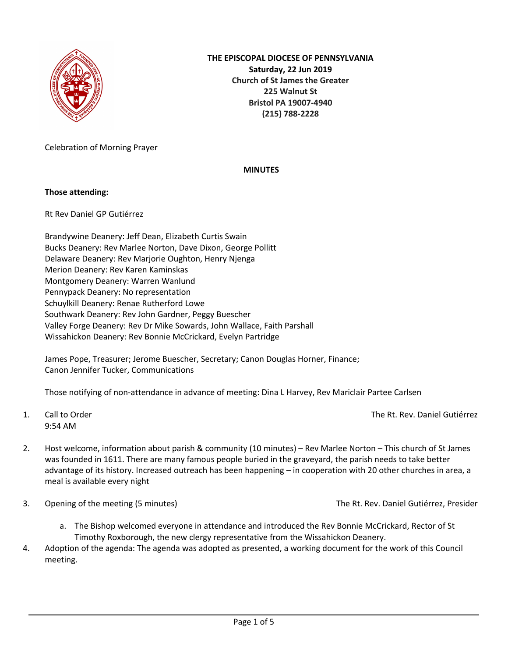

Celebration of Morning Prayer

# **MINUTES**

# **Those attending:**

Rt Rev Daniel GP Gutiérrez

Brandywine Deanery: Jeff Dean, Elizabeth Curtis Swain Bucks Deanery: Rev Marlee Norton, Dave Dixon, George Pollitt Delaware Deanery: Rev Marjorie Oughton, Henry Njenga Merion Deanery: Rev Karen Kaminskas Montgomery Deanery: Warren Wanlund Pennypack Deanery: No representation Schuylkill Deanery: Renae Rutherford Lowe Southwark Deanery: Rev John Gardner, Peggy Buescher Valley Forge Deanery: Rev Dr Mike Sowards, John Wallace, Faith Parshall Wissahickon Deanery: Rev Bonnie McCrickard, Evelyn Partridge

James Pope, Treasurer; Jerome Buescher, Secretary; Canon Douglas Horner, Finance; Canon Jennifer Tucker, Communications

Those notifying of non-attendance in advance of meeting: Dina L Harvey, Rev Mariclair Partee Carlsen

9:54 AM

1. Call to Order The Rt. Rev. Daniel Gutiérrez

- 2. Host welcome, information about parish & community (10 minutes) Rev Marlee Norton This church of St James was founded in 1611. There are many famous people buried in the graveyard, the parish needs to take better advantage of its history. Increased outreach has been happening – in cooperation with 20 other churches in area, a meal is available every night
- 3. Opening of the meeting (5 minutes) The Rt. Rev. Daniel Gutiérrez, Presider

- a. The Bishop welcomed everyone in attendance and introduced the Rev Bonnie McCrickard, Rector of St Timothy Roxborough, the new clergy representative from the Wissahickon Deanery.
- 4. Adoption of the agenda: The agenda was adopted as presented, a working document for the work of this Council meeting.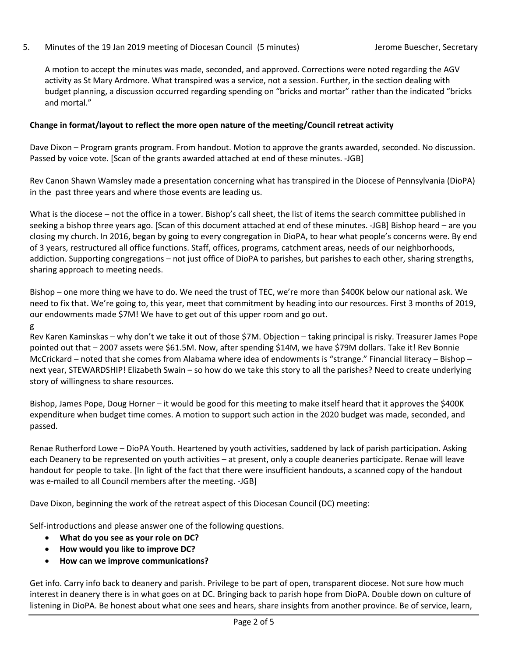# 5. Minutes of the 19 Jan 2019 meeting of Diocesan Council (5 minutes) Jerome Buescher, Secretary

A motion to accept the minutes was made, seconded, and approved. Corrections were noted regarding the AGV activity as St Mary Ardmore. What transpired was a service, not a session. Further, in the section dealing with budget planning, a discussion occurred regarding spending on "bricks and mortar" rather than the indicated "bricks and mortal."

# **Change in format/layout to reflect the more open nature of the meeting/Council retreat activity**

Dave Dixon – Program grants program. From handout. Motion to approve the grants awarded, seconded. No discussion. Passed by voice vote. [Scan of the grants awarded attached at end of these minutes. -JGB]

Rev Canon Shawn Wamsley made a presentation concerning what has transpired in the Diocese of Pennsylvania (DioPA) in the past three years and where those events are leading us.

What is the diocese – not the office in a tower. Bishop's call sheet, the list of items the search committee published in seeking a bishop three years ago. [Scan of this document attached at end of these minutes. -JGB] Bishop heard – are you closing my church. In 2016, began by going to every congregation in DioPA, to hear what people's concerns were. By end of 3 years, restructured all office functions. Staff, offices, programs, catchment areas, needs of our neighborhoods, addiction. Supporting congregations – not just office of DioPA to parishes, but parishes to each other, sharing strengths, sharing approach to meeting needs.

Bishop – one more thing we have to do. We need the trust of TEC, we're more than \$400K below our national ask. We need to fix that. We're going to, this year, meet that commitment by heading into our resources. First 3 months of 2019, our endowments made \$7M! We have to get out of this upper room and go out.

g

Rev Karen Kaminskas – why don't we take it out of those \$7M. Objection – taking principal is risky. Treasurer James Pope pointed out that – 2007 assets were \$61.5M. Now, after spending \$14M, we have \$79M dollars. Take it! Rev Bonnie McCrickard – noted that she comes from Alabama where idea of endowments is "strange." Financial literacy – Bishop – next year, STEWARDSHIP! Elizabeth Swain – so how do we take this story to all the parishes? Need to create underlying story of willingness to share resources.

Bishop, James Pope, Doug Horner – it would be good for this meeting to make itself heard that it approves the \$400K expenditure when budget time comes. A motion to support such action in the 2020 budget was made, seconded, and passed.

Renae Rutherford Lowe – DioPA Youth. Heartened by youth activities, saddened by lack of parish participation. Asking each Deanery to be represented on youth activities – at present, only a couple deaneries participate. Renae will leave handout for people to take. [In light of the fact that there were insufficient handouts, a scanned copy of the handout was e-mailed to all Council members after the meeting. -JGB]

Dave Dixon, beginning the work of the retreat aspect of this Diocesan Council (DC) meeting:

Self-introductions and please answer one of the following questions.

- **What do you see as your role on DC?**
- **How would you like to improve DC?**
- **How can we improve communications?**

Get info. Carry info back to deanery and parish. Privilege to be part of open, transparent diocese. Not sure how much interest in deanery there is in what goes on at DC. Bringing back to parish hope from DioPA. Double down on culture of listening in DioPA. Be honest about what one sees and hears, share insights from another province. Be of service, learn,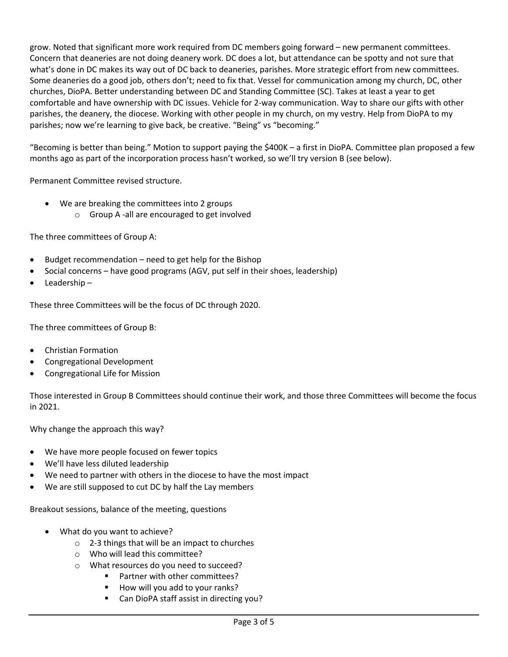grow. Noted that significant more work required from DC members going forward – new permanent committees. Concern that deaneries are not doing deanery work. DC does a lot, but attendance can be spotty and not sure that what's done in DC makes its way out of DC back to deaneries, parishes. More strategic effort from new committees. Some deaneries do a good job, others don't; need to fix that. Vessel for communication among my church, DC, other churches, DioPA. Better understanding between DC and Standing Committee (SC). Takes at least a year to get comfortable and have ownership with DC issues. Vehicle for 2-way communication. Way to share our gifts with other parishes, the deanery, the diocese. Working with other people in my church, on my vestry. Help from DioPA to my parishes; now we're learning to give back, be creative. "Being" vs "becoming."

"Becoming is better than being." Motion to support paying the \$400K – a first in DioPA. Committee plan proposed a few months ago as part of the incorporation process hasn't worked, so we'll try version B (see below).

Permanent Committee revised structure.

- We are breaking the committees into 2 groups
	- o Group A -all are encouraged to get involved

The three committees of Group A:

- Budget recommendation need to get help for the Bishop
- Social concerns have good programs (AGV, put self in their shoes, leadership)
- Leadership –

These three Committees will be the focus of DC through 2020.

The three committees of Group B:

- Christian Formation
- Congregational Development
- Congregational Life for Mission

Those interested in Group B Committees should continue their work, and those three Committees will become the focus in 2021.

Why change the approach this way?

- We have more people focused on fewer topics
- We'll have less diluted leadership
- We need to partner with others in the diocese to have the most impact
- We are still supposed to cut DC by half the Lay members

Breakout sessions, balance of the meeting, questions

- What do you want to achieve?
	- o 2-3 things that will be an impact to churches
	- o Who will lead this committee?
	- o What resources do you need to succeed?
		- Partner with other committees?
		- § How will you add to your ranks?
		- § Can DioPA staff assist in directing you?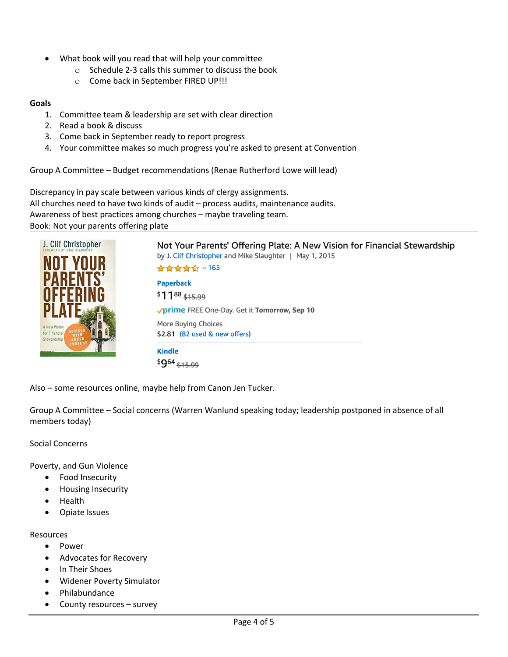- What book will you read that will help your committee
	- o Schedule 2-3 calls this summer to discuss the book
	- o Come back in September FIRED UP!!!

### **Goals**

- 1. Committee team & leadership are set with clear direction
- 2. Read a book & discuss
- 3. Come back in September ready to report progress
- 4. Your committee makes so much progress you're asked to present at Convention

Group A Committee – Budget recommendations (Renae Rutherford Lowe will lead)

Discrepancy in pay scale between various kinds of clergy assignments. All churches need to have two kinds of audit – process audits, maintenance audits. Awareness of best practices among churches – maybe traveling team. Book: Not your parents offering plate



Also – some resources online, maybe help from Canon Jen Tucker.

Group A Committee – Social concerns (Warren Wanlund speaking today; leadership postponed in absence of all members today)

Social Concerns

Poverty, and Gun Violence

- Food Insecurity
- Housing Insecurity
- Health
- Opiate Issues

### Resources

- Power
- Advocates for Recovery
- In Their Shoes
- Widener Poverty Simulator
- Philabundance
- County resources survey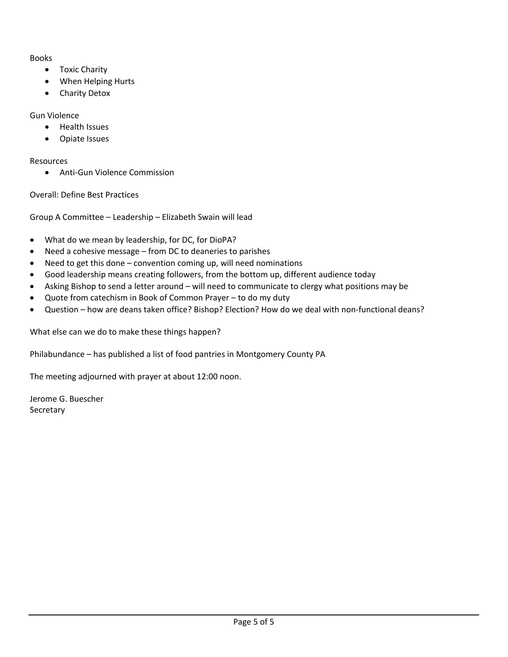Books

- Toxic Charity
- When Helping Hurts
- Charity Detox

# Gun Violence

- Health Issues
- Opiate Issues

Resources

• Anti-Gun Violence Commission

Overall: Define Best Practices

Group A Committee – Leadership – Elizabeth Swain will lead

- What do we mean by leadership, for DC, for DioPA?
- Need a cohesive message from DC to deaneries to parishes
- Need to get this done convention coming up, will need nominations
- Good leadership means creating followers, from the bottom up, different audience today
- Asking Bishop to send a letter around will need to communicate to clergy what positions may be
- Quote from catechism in Book of Common Prayer to do my duty
- Question how are deans taken office? Bishop? Election? How do we deal with non-functional deans?

What else can we do to make these things happen?

Philabundance – has published a list of food pantries in Montgomery County PA

The meeting adjourned with prayer at about 12:00 noon.

Jerome G. Buescher **Secretary**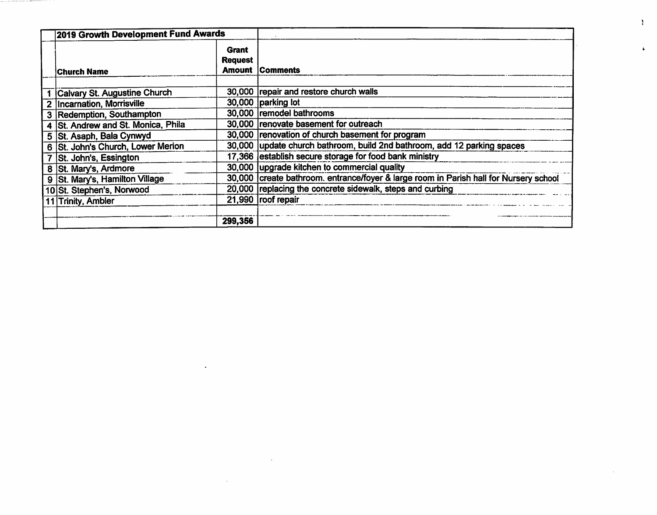|   | 2019 Growth Development Fund Awards |                                                 |                                                                                       |
|---|-------------------------------------|-------------------------------------------------|---------------------------------------------------------------------------------------|
|   | <b>iChurch Name</b>                 | <b>Grant</b><br><b>Request</b><br><b>Amount</b> | <b>Comments</b>                                                                       |
|   | Calvary St. Augustine Church        |                                                 | 30,000 repair and restore church walls                                                |
|   | <b>Incarnation, Morrisville</b>     |                                                 | 30,000 parking lot                                                                    |
| з | Redemption, Southampton             |                                                 | 30,000 remodel bathrooms                                                              |
|   | 4 St. Andrew and St. Monica, Phila  |                                                 | 30,000 renovate basement for outreach                                                 |
|   | 5   St. Asaph, Bala Cynwyd          |                                                 | 30,000 renovation of church basement for program                                      |
|   | 6 St. John's Church, Lower Merion   |                                                 | 30,000 update church bathroom, build 2nd bathroom, add 12 parking spaces              |
|   | St. John's, Essington               |                                                 | 17,366 establish secure storage for food bank ministry                                |
|   | 8 St. Mary's, Ardmore               |                                                 | 30,000 upgrade kitchen to commercial quality                                          |
|   | 9   St. Mary's, Hamilton Village    |                                                 | 30,000 create bathroom. entrance/foyer & large room in Parish hall for Nursery school |
|   | 10 St. Stephen's, Norwood           |                                                 | 20,000 replacing the concrete sidewalk, steps and curbing                             |
|   | 11 Trinity, Ambler                  |                                                 | 21,990 roof repair                                                                    |
|   |                                     | 299,356                                         |                                                                                       |

the control of the control of the

 $\mathcal{L}^{\text{max}}_{\text{max}}$  and  $\mathcal{L}^{\text{max}}_{\text{max}}$ 

 $\mathcal{L}(\mathcal{L})$  and  $\mathcal{L}(\mathcal{L})$  . The contribution of the set of  $\mathcal{L}(\mathcal{L})$ 

 $\mathbf{Y}$ 

 $\mathbf{A}$ 

 $\sim 10^7$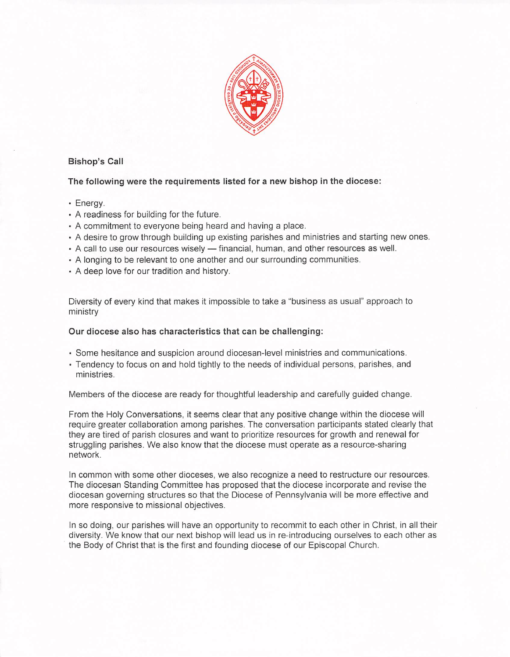

# **Bishop's Call**

The following were the requirements listed for a new bishop in the diocese:

## · Enerav.

- A readiness for building for the future.
- A commitment to everyone being heard and having a place.
- . A desire to grow through building up existing parishes and ministries and starting new ones.
- A call to use our resources wisely financial, human, and other resources as well.
- A longing to be relevant to one another and our surrounding communities.
- A deep love for our tradition and history.

Diversity of every kind that makes it impossible to take a "business as usual" approach to ministry

## Our diocese also has characteristics that can be challenging:

- . Some hesitance and suspicion around diocesan-level ministries and communications.
- Tendency to focus on and hold tightly to the needs of individual persons, parishes, and ministries.

Members of the diocese are ready for thoughtful leadership and carefully guided change.

From the Holy Conversations, it seems clear that any positive change within the diocese will require greater collaboration among parishes. The conversation participants stated clearly that they are tired of parish closures and want to prioritize resources for growth and renewal for struggling parishes. We also know that the diocese must operate as a resource-sharing network.

In common with some other dioceses, we also recognize a need to restructure our resources. The diocesan Standing Committee has proposed that the diocese incorporate and revise the diocesan governing structures so that the Diocese of Pennsylvania will be more effective and more responsive to missional objectives.

In so doing, our parishes will have an opportunity to recommit to each other in Christ, in all their diversity. We know that our next bishop will lead us in re-introducing ourselves to each other as the Body of Christ that is the first and founding diocese of our Episcopal Church.